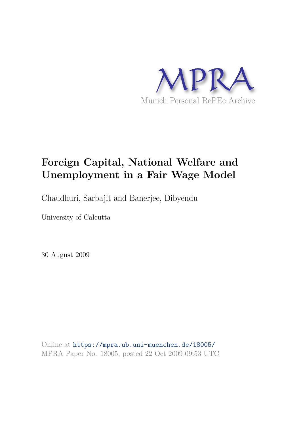

# **Foreign Capital, National Welfare and Unemployment in a Fair Wage Model**

Chaudhuri, Sarbajit and Banerjee, Dibyendu

University of Calcutta

30 August 2009

Online at https://mpra.ub.uni-muenchen.de/18005/ MPRA Paper No. 18005, posted 22 Oct 2009 09:53 UTC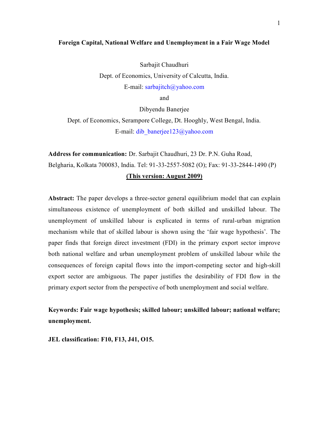#### **Foreign Capital, National Welfare and Unemployment in a Fair Wage Model**

Sarbajit Chaudhuri Dept. of Economics, University of Calcutta, India. E-mail: sarbajitch@yahoo.com

and

Dibyendu Banerjee

Dept. of Economics, Serampore College, Dt. Hooghly, West Bengal, India. E-mail: dib\_banerjee123@yahoo.com

**Address for communication:** Dr. Sarbajit Chaudhuri, 23 Dr. P.N. Guha Road, Belgharia, Kolkata 700083, India. Tel: 91-33-2557-5082 (O); Fax: 91-33-2844-1490 (P)

#### **(This version: August 2009)**

Abstract: The paper develops a three-sector general equilibrium model that can explain simultaneous existence of unemployment of both skilled and unskilled labour. The unemployment of unskilled labour is explicated in terms of rural-urban migration mechanism while that of skilled labour is shown using the 'fair wage hypothesis'. The paper finds that foreign direct investment (FDI) in the primary export sector improve both national welfare and urban unemployment problem of unskilled labour while the consequences of foreign capital flows into the import-competing sector and high-skill export sector are ambiguous. The paper justifies the desirability of FDI flow in the primary export sector from the perspective of both unemployment and social welfare.

**Keywords: Fair wage hypothesis; skilled labour; unskilled labour; national welfare; unemployment.** 

**JEL classification: F10, F13, J41, O15.**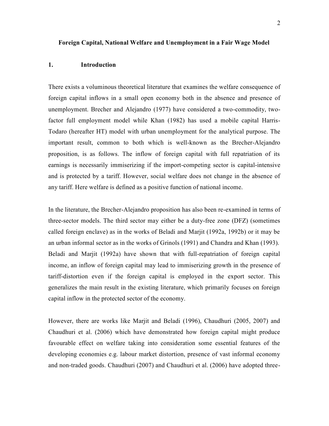#### **Foreign Capital, National Welfare and Unemployment in a Fair Wage Model**

#### **1. Introduction**

There exists a voluminous theoretical literature that examines the welfare consequence of foreign capital inflows in a small open economy both in the absence and presence of unemployment. Brecher and Alejandro (1977) have considered a two-commodity, twofactor full employment model while Khan (1982) has used a mobile capital Harris-Todaro (hereafter HT) model with urban unemployment for the analytical purpose. The important result, common to both which is well-known as the Brecher-Alejandro proposition, is as follows. The inflow of foreign capital with full repatriation of its earnings is necessarily immiserizing if the import-competing sector is capital-intensive and is protected by a tariff. However, social welfare does not change in the absence of any tariff. Here welfare is defined as a positive function of national income.

In the literature, the Brecher-Alejandro proposition has also been re-examined in terms of three-sector models. The third sector may either be a duty-free zone (DFZ) (sometimes called foreign enclave) as in the works of Beladi and Marjit (1992a, 1992b) or it may be an urban informal sector as in the works of Grinols (1991) and Chandra and Khan (1993). Beladi and Marjit (1992a) have shown that with full-repatriation of foreign capital income, an inflow of foreign capital may lead to immiserizing growth in the presence of tariff-distortion even if the foreign capital is employed in the export sector. This generalizes the main result in the existing literature, which primarily focuses on foreign capital inflow in the protected sector of the economy.

However, there are works like Marjit and Beladi (1996), Chaudhuri (2005, 2007) and Chaudhuri et al. (2006) which have demonstrated how foreign capital might produce favourable effect on welfare taking into consideration some essential features of the developing economies e.g. labour market distortion, presence of vast informal economy and non-traded goods. Chaudhuri (2007) and Chaudhuri et al. (2006) have adopted three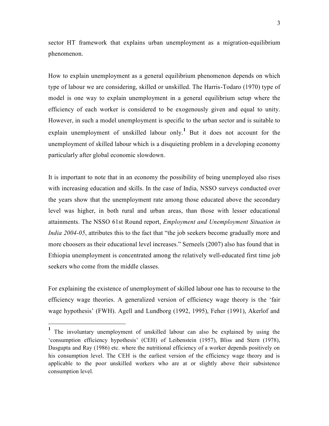sector HT framework that explains urban unemployment as a migration-equilibrium phenomenon.

How to explain unemployment as a general equilibrium phenomenon depends on which type of labour we are considering, skilled or unskilled. The Harris-Todaro (1970) type of model is one way to explain unemployment in a general equilibrium setup where the efficiency of each worker is considered to be exogenously given and equal to unity. However, in such a model unemployment is specific to the urban sector and is suitable to explain unemployment of unskilled labour only.<sup>1</sup> But it does not account for the unemployment of skilled labour which is a disquieting problem in a developing economy particularly after global economic slowdown.

It is important to note that in an economy the possibility of being unemployed also rises with increasing education and skills. In the case of India, NSSO surveys conducted over the years show that the unemployment rate among those educated above the secondary level was higher, in both rural and urban areas, than those with lesser educational attainments. The NSSO 61st Round report, *Employment and Unemployment Situation in India 2004-05*, attributes this to the fact that "the job seekers become gradually more and more choosers as their educational level increases." Serneels (2007) also has found that in Ethiopia unemployment is concentrated among the relatively well-educated first time job seekers who come from the middle classes.

For explaining the existence of unemployment of skilled labour one has to recourse to the efficiency wage theories. A generalized version of efficiency wage theory is the 'fair wage hypothesis' (FWH). Agell and Lundborg (1992, 1995), Feher (1991), Akerlof and

 $\overline{\phantom{0}}$ 

**<sup>1</sup>** The involuntary unemployment of unskilled labour can also be explained by using the 'consumption efficiency hypothesis' (CEH) of Leibenstein (1957), Bliss and Stern (1978), Dasgupta and Ray (1986) etc. where the nutritional efficiency of a worker depends positively on his consumption level. The CEH is the earliest version of the efficiency wage theory and is applicable to the poor unskilled workers who are at or slightly above their subsistence consumption level.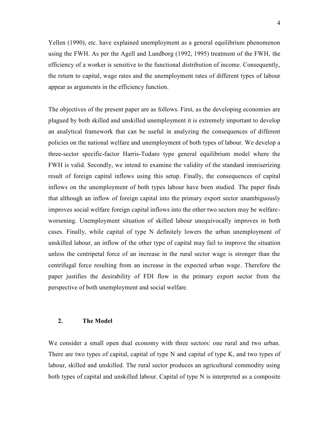Yellen (1990), etc. have explained unemployment as a general equilibrium phenomenon using the FWH. As per the Agell and Lundborg (1992, 1995) treatment of the FWH, the efficiency of a worker is sensitive to the functional distribution of income. Consequently, the return to capital, wage rates and the unemployment rates of different types of labour appear as arguments in the efficiency function.

The objectives of the present paper are as follows. First, as the developing economies are plagued by both skilled and unskilled unemployment it is extremely important to develop an analytical framework that can be useful in analyzing the consequences of different policies on the national welfare and unemployment of both types of labour. We develop a three-sector specific-factor Harris-Todaro type general equilibrium model where the FWH is valid. Secondly, we intend to examine the validity of the standard immiserizing result of foreign capital inflows using this setup. Finally, the consequences of capital inflows on the unemployment of both types labour have been studied. The paper finds that although an inflow of foreign capital into the primary export sector unambiguously improves social welfare foreign capital inflows into the other two sectors may be welfareworsening. Unemployment situation of skilled labour unequivocally improves in both cases. Finally, while capital of type N definitely lowers the urban unemployment of unskilled labour, an inflow of the other type of capital may fail to improve the situation unless the centripetal force of an increase in the rural sector wage is stronger than the centrifugal force resulting from an increase in the expected urban wage. Therefore the paper justifies the desirability of FDI flow in the primary export sector from the perspective of both unemployment and social welfare.

#### **2. The Model**

We consider a small open dual economy with three sectors: one rural and two urban. There are two types of capital, capital of type N and capital of type K, and two types of labour, skilled and unskilled. The rural sector produces an agricultural commodity using both types of capital and unskilled labour. Capital of type N is interpreted as a composite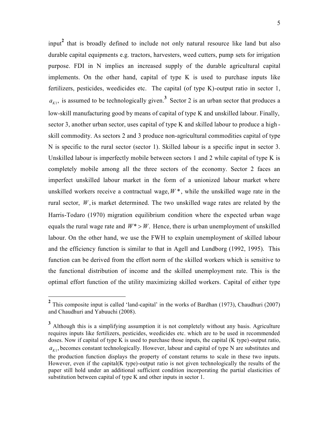input**<sup>2</sup>** that is broadly defined to include not only natural resource like land but also durable capital equipments e.g. tractors, harvesters, weed cutters, pump sets for irrigation purpose. FDI in N implies an increased supply of the durable agricultural capital implements. On the other hand, capital of type K is used to purchase inputs like fertilizers, pesticides, weedicides etc. The capital (of type K)-output ratio in sector 1,  $a_{K1}$ , is assumed to be technologically given.<sup>3</sup> Sector 2 is an urban sector that produces a low-skill manufacturing good by means of capital of type K and unskilled labour. Finally, sector 3, another urban sector, uses capital of type K and skilled labour to produce a high skill commodity. As sectors 2 and 3 produce non-agricultural commodities capital of type N is specific to the rural sector (sector 1). Skilled labour is a specific input in sector 3. Unskilled labour is imperfectly mobile between sectors 1 and 2 while capital of type K is completely mobile among all the three sectors of the economy. Sector 2 faces an imperfect unskilled labour market in the form of a unionized labour market where unskilled workers receive a contractual wage,  $W^*$ , while the unskilled wage rate in the rural sector, *W* , is market determined. The two unskilled wage rates are related by the Harris-Todaro (1970) migration equilibrium condition where the expected urban wage equals the rural wage rate and  $W^* > W$ . Hence, there is urban unemployment of unskilled labour. On the other hand, we use the FWH to explain unemployment of skilled labour and the efficiency function is similar to that in Agell and Lundborg (1992, 1995). This function can be derived from the effort norm of the skilled workers which is sensitive to the functional distribution of income and the skilled unemployment rate. This is the optimal effort function of the utility maximizing skilled workers. Capital of either type

<sup>&</sup>lt;sup>2</sup> This composite input is called 'land-capital' in the works of Bardhan (1973), Chaudhuri (2007) and Chaudhuri and Yabuuchi (2008).

<sup>&</sup>lt;sup>3</sup> Although this is a simplifying assumption it is not completely without any basis. Agriculture requires inputs like fertilizers, pesticides, weedicides etc. which are to be used in recommended doses. Now if capital of type K is used to purchase those inputs, the capital (K type)-output ratio,  $a_{K1}$ , becomes constant technologically. However, labour and capital of type N are substitutes and the production function displays the property of constant returns to scale in these two inputs. However, even if the capital(K type)-output ratio is not given technologically the results of the paper still hold under an additional sufficient condition incorporating the partial elasticities of substitution between capital of type K and other inputs in sector 1.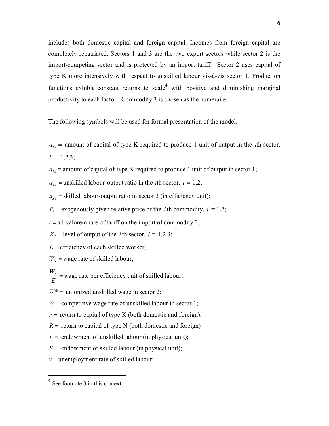includes both domestic capital and foreign capital. Incomes from foreign capital are completely repatriated. Sectors 1 and 3 are the two export sectors while sector 2 is the import-competing sector and is protected by an import tariff. Sector 2 uses capital of type K more intensively with respect to unskilled labour vis-à-vis sector 1. Production functions exhibit constant returns to scale<sup>4</sup> with positive and diminishing marginal productivity to each factor. Commodity 3 is chosen as the numeraire.

The following symbols will be used for formal presentation of the model.

 $a_{ki}$  = amount of capital of type K required to produce 1 unit of output in the *i*th sector,  $i = 1.2.3$ ;

 $a_{Ni}$  = amount of capital of type N required to produce 1 unit of output in sector 1;

 $a_{Li}$  = unskilled labour-output ratio in the *i*th sector,  $i = 1,2$ ;

 $a_{s3}$  = skilled labour-output ratio in sector 3 (in efficiency unit);

 $P_i$  = exogenously given relative price of the *i* th commodity,  $i = 1,2$ ;

 $t =$ ad-valorem rate of tariff on the import of commodity 2;

 $X_i$  = level of output of the *i* th sector,  $i = 1,2,3$ ;

 $E =$  efficiency of each skilled worker;

 $W<sub>S</sub>$  = wage rate of skilled labour;

*WS E* = wage rate per efficiency unit of skilled labour;

 $W^*$  = unionized unskilled wage in sector 2;

 $W =$ competitive wage rate of unskilled labour in sector 1;

 $r =$  return to capital of type K (both domestic and foreign);

 $R =$  return to capital of type N (both domestic and foreign)

 $L =$  endowment of unskilled labour (in physical unit);

 $S =$  endowment of skilled labour (in physical unit);

 $v =$  unemployment rate of skilled labour;

l

<sup>&</sup>lt;sup>4</sup> See footnote 3 in this context.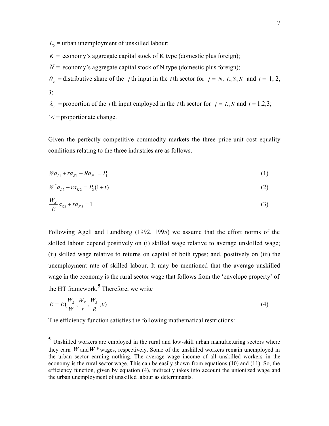$L_{U}$  = urban unemployment of unskilled labour;

 $K =$  economy's aggregate capital stock of K type (domestic plus foreign);

 $N =$  economy's aggregate capital stock of N type (domestic plus foreign);

 $\theta_{ji}$  = distributive share of the *j* th input in the *i* th sector for  $j = N$ , *L*, *S*, *K* and  $i = 1, 2$ ,  $3:$ 

 $\lambda_{ji}$  = proportion of the *j* th input employed in the *i* th sector for  $j = L$ , *K* and  $i = 1,2,3$ ;  $'\wedge'$  = proportionate change.

Given the perfectly competitive commodity markets the three price-unit cost equality conditions relating to the three industries are as follows.

$$
Wa_{L1} + ra_{K1} + Ra_{N1} = P_1 \tag{1}
$$

$$
W^* a_{L2} + r a_{K2} = P_2(1+t) \tag{2}
$$

$$
\frac{W_s}{E}a_{s3} + ra_{k3} = 1\tag{3}
$$

Following Agell and Lundborg (1992, 1995) we assume that the effort norms of the skilled labour depend positively on (i) skilled wage relative to average unskilled wage; (ii) skilled wage relative to returns on capital of both types; and, positively on (iii) the unemployment rate of skilled labour. It may be mentioned that the average unskilled wage in the economy is the rural sector wage that follows from the 'envelope property' of the HT framework.**<sup>5</sup>** Therefore, we write

$$
E = E\left(\frac{W_s}{W}, \frac{W_s}{r}, \frac{W_s}{R}, \nu\right)
$$
\n<sup>(4)</sup>

The efficiency function satisfies the following mathematical restrictions:

**<sup>5</sup>** Unskilled workers are employed in the rural and low-skill urban manufacturing sectors where they earn *W* and  $W^*$  wages, respectively. Some of the unskilled workers remain unemployed in the urban sector earning nothing. The average wage income of all unskilled workers in the economy is the rural sector wage. This can be easily shown from equations (10) and (11). So, the efficiency function, given by equation (4), indirectly takes into account the unioni zed wage and the urban unemployment of unskilled labour as determinants.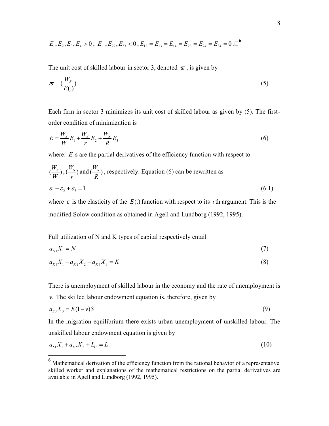$$
E_1, E_2, E_3, E_4 > 0
$$
;  $E_{11}, E_{22}, E_{33} < 0$ ;  $E_{12} = E_{13} = E_{14} = E_{23} = E_{24} = E_{34} = 0$ .

The unit cost of skilled labour in sector 3, denoted  $\varpi$ , is given by

$$
\varpi = \left(\frac{W_{S}}{E(.)}\right) \tag{5}
$$

Each firm in sector 3 minimizes its unit cost of skilled labour as given by (5). The firstorder condition of minimization is

$$
E = \frac{W_s}{W} E_1 + \frac{W_s}{r} E_2 + \frac{W_s}{R} E_3
$$
\n(6)

where:  $E_i$  s are the partial derivatives of the efficiency function with respect to

$$
(\frac{W_s}{W}), (\frac{W_s}{r})
$$
 and  $(\frac{W_s}{R})$ , respectively. Equation (6) can be rewritten as  
 $\varepsilon_1 + \varepsilon_2 + \varepsilon_3 = 1$  (6.1)

where  $\varepsilon$ <sub>i</sub> is the elasticity of the  $E(.)$  function with respect to its *i* th argument. This is the modified Solow condition as obtained in Agell and Lundborg (1992, 1995).

Full utilization of N and K types of capital respectively entail

$$
a_{N1}X_1 = N \tag{7}
$$

$$
a_{K1}X_1 + a_{K2}X_2 + a_{K3}X_3 = K\tag{8}
$$

There is unemployment of skilled labour in the economy and the rate of unemployment is

*v*. The skilled labour endowment equation is, therefore, given by

<u>.</u>

$$
a_{s3}X_3 = E(1-v)S\tag{9}
$$

In the migration equilibrium there exists urban unemployment of unskilled labour. The unskilled labour endowment equation is given by

$$
a_{L1}X_1 + a_{L2}X_2 + L_U = L \tag{10}
$$

<sup>&</sup>lt;sup>6</sup> Mathematical derivation of the efficiency function from the rational behavior of a representative skilled worker and explanations of the mathematical restrictions on the partial derivatives are available in Agell and Lundborg (1992, 1995).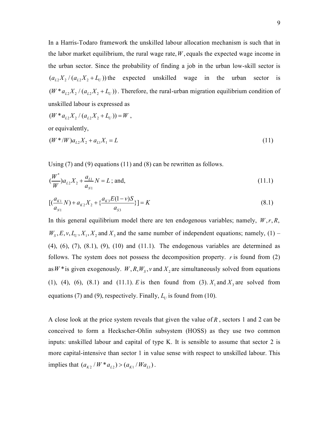In a Harris-Todaro framework the unskilled labour allocation mechanism is such that in the labor market equilibrium, the rural wage rate,  $W$ , equals the expected wage income in the urban sector. Since the probability of finding a job in the urban low-skill sector is  $(a_{L2}X_2/(a_{L2}X_2+L_U))$  the expected unskilled wage in the urban sector is  $(W^* a_{12} X_2 / (a_{12} X_2 + L_U))$ . Therefore, the rural-urban migration equilibrium condition of unskilled labour is expressed as

$$
(W * aL2 X2 / (aL2 X2 + LU)) = W,
$$
  
or equivalently,

$$
(W^* / W)a_{L2}X_2 + a_{L1}X_1 = L \tag{11}
$$

Using (7) and (9) equations (11) and (8) can be rewritten as follows.

$$
\left(\frac{W^*}{W}\right)a_{L2}X_2 + \frac{a_{L1}}{a_{N1}}N = L \text{ ; and,}
$$
\n(11.1)

$$
\left[ \left( \frac{a_{K1}}{a_{N1}} N \right) + a_{K2} X_2 + \left\{ \frac{a_{K3} E (1 - \nu) S}{a_{S3}} \right\} \right] = K \tag{8.1}
$$

In this general equilibrium model there are ten endogenous variables; namely,  $W, r, R$ ,  $W_s, E, v, L_v, X_1, X_2$  and  $X_3$  and the same number of independent equations; namely, (1) –  $(4)$ ,  $(6)$ ,  $(7)$ ,  $(8.1)$ ,  $(9)$ ,  $(10)$  and  $(11.1)$ . The endogenous variables are determined as follows. The system does not possess the decomposition property. *r* is found from (2) as  $W^*$  is given exogenously.  $W$ ,  $R$ ,  $W_s$ ,  $v$  and  $X_2$  are simultaneously solved from equations (1), (4), (6), (8.1) and (11.1). *E* is then found from (3).  $X_1$  and  $X_3$  are solved from equations (7) and (9), respectively. Finally,  $L_U$  is found from (10).

A close look at the price system reveals that given the value of *R* , sectors 1 and 2 can be conceived to form a Heckscher-Ohlin subsystem (HOSS) as they use two common inputs: unskilled labour and capital of type K. It is sensible to assume that sector 2 is more capital-intensive than sector 1 in value sense with respect to unskilled labour. This implies that  $(a_{K2} / W * a_{L2}) > (a_{K1} / Wa_{L1})$ .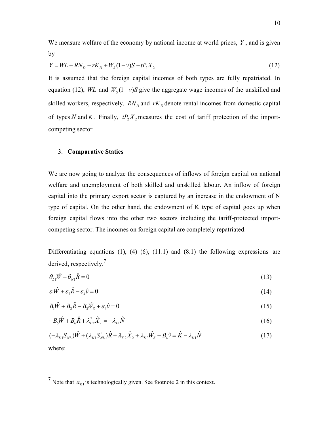We measure welfare of the economy by national income at world prices, *Y* , and is given by

$$
Y = WL + RN_{D} + rK_{D} + W_{S}(1 - v)S - tP_{2}X_{2}
$$
\n(12)

It is assumed that the foreign capital incomes of both types are fully repatriated. In equation (12), *WL* and  $W_s(1 - v)S$  give the aggregate wage incomes of the unskilled and skilled workers, respectively.  $RN<sub>D</sub>$  and  $rK<sub>D</sub>$  denote rental incomes from domestic capital of types N and K. Finally,  $tP_2X_2$  measures the cost of tariff protection of the importcompeting sector.

#### 3. **Comparative Statics**

We are now going to analyze the consequences of inflows of foreign capital on national welfare and unemployment of both skilled and unskilled labour. An inflow of foreign capital into the primary export sector is captured by an increase in the endowment of N type of capital. On the other hand, the endowment of K type of capital goes up when foreign capital flows into the other two sectors including the tariff-protected importcompeting sector. The incomes on foreign capital are completely repatriated.

Differentiating equations  $(1)$ ,  $(4)$   $(6)$ ,  $(11.1)$  and  $(8.1)$  the following expressions are derived, respectively.**<sup>7</sup>**

$$
\theta_{\scriptscriptstyle L1} \hat{W} + \theta_{\scriptscriptstyle N1} \hat{R} = 0 \tag{13}
$$

$$
\varepsilon_1 \hat{W} + \varepsilon_3 \hat{R} - \varepsilon_4 \hat{v} = 0 \tag{14}
$$

$$
B_1\hat{W} + B_2\hat{R} - B_3\hat{W}_s + \varepsilon_4\hat{v} = 0\tag{15}
$$

$$
-B_{5}\hat{W} + B_{6}\hat{R} + \lambda_{L2}^{*}\hat{X}_{2} = -\lambda_{L1}\hat{N}
$$
\n(16)

$$
(-\lambda_{K1}S_{NL}^1)\hat{W} + (\lambda_{K1}S_{NL}^1)\hat{R} + \lambda_{K2}\hat{X}_2 + \lambda_{K3}\hat{W}_S - B_4\hat{v} = \hat{K} - \lambda_{K1}\hat{N}
$$
(17)

where:

l

<sup>&</sup>lt;sup>7</sup> Note that  $a_{K1}$  is technologically given. See footnote 2 in this context.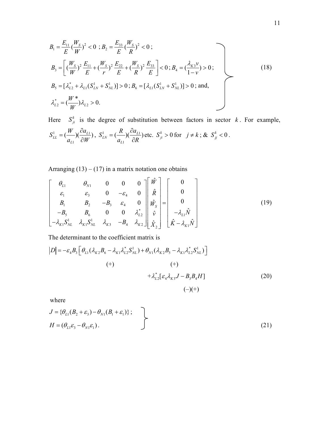$$
B_{1} = \frac{E_{11}}{E} (\frac{W_{S}}{W})^{2} < 0; B_{2} = \frac{E_{33}}{E} (\frac{W_{S}}{R})^{2} < 0; B_{3} = \left[ (\frac{W_{S}}{W})^{2} \frac{E_{11}}{E} + (\frac{W_{S}}{r})^{2} \frac{E_{22}}{E} + (\frac{W_{S}}{R})^{2} \frac{E_{33}}{E} \right] < 0; B_{4} = (\frac{\lambda_{K3} \nu}{1 - \nu}) > 0; B_{5} = [\lambda_{L2}^{*} + \lambda_{L1} (S_{LN}^{1} + S_{NL}^{1})] > 0; B_{6} = [\lambda_{L1} (S_{LN}^{1} + S_{NL}^{1})] > 0; \text{ and,} \lambda_{L2}^{*} = (\frac{W^{*}}{W}) \lambda_{L2} > 0.
$$
\n(18)

Here  $S_{ji}^k$  is the degree of substitution between factors in sector *k*. For example,  $1 - (\frac{W}{M})^{\text{U}}$ 1  $L_L = \left(\frac{H}{\tau}\right)\left(\frac{\partial u_{L1}}{\partial H}\right)$ *L*  $S_{LL}^1 = \left(\frac{W}{2}\right)\left(\frac{\partial a}{\partial x}\right)$  $a_{L1} \cap \partial W$  $=(\frac{W}{\cdot}) (\frac{\partial}{\partial})$  $\partial$  $S_{LN}^1 = \frac{K}{2} \left( \frac{U u_{L1}}{2R} \right)$ 1  $\mu_N = \left(\frac{R}{r}\right)\left(\frac{Uu_{L1}}{2R}\right)^{n}$ *L*  $S^1_{LN} = \left(\frac{R}{2}\right)\left(\frac{\partial a}{\partial x}\right)$  $a_{L1} \cap \partial R$  $=(\frac{R}{\sqrt{2}})(\frac{\partial}{\partial x})$  $\partial$ etc.  $S_{ji}^k > 0$  for  $j \neq k$ ; &  $S_{jj}^k < 0$ .

Arranging  $(13) - (17)$  in a matrix notation one obtains

$$
\begin{bmatrix}\n\theta_{L1} & \theta_{N1} & 0 & 0 & 0 \\
\varepsilon_1 & \varepsilon_3 & 0 & -\varepsilon_4 & 0 \\
B_1 & B_2 & -B_3 & \varepsilon_4 & 0 \\
-B_5 & B_6 & 0 & 0 & \lambda_{L2}^* \\
-\lambda_{K1}S_{NL}^1 & \lambda_{K1}S_{NL}^1 & \lambda_{K3} & -B_4 & \lambda_{K2}\n\end{bmatrix}\n\begin{bmatrix}\n\hat{W} \\
\hat{R} \\
\hat{W}_S \\
\hat{V}_S \\
\hat{V}_e\n\end{bmatrix} =\n\begin{bmatrix}\n0 \\
0 \\
0 \\
-\lambda_{L1}\hat{N} \\
\hat{K} - \lambda_{K1}\hat{N}\n\end{bmatrix}
$$
\n(19)

The determinant to the coefficient matrix is

$$
|D| = -\varepsilon_4 B_3 \left[ \theta_{L1} (\lambda_{K2} B_6 - \lambda_{K1} \lambda_{L2}^* S_{NL}^1) + \theta_{N1} (\lambda_{K2} B_5 - \lambda_{K1} \lambda_{L2}^* S_{NL}^1) \right]
$$
  
(+)  

$$
+ \lambda_{L2}^* [\varepsilon_4 \lambda_{K3} J - B_3 B_4 H]
$$
  
(20)  
(–)(+)

where

$$
J = \{ \theta_{L1}(B_2 + \varepsilon_3) - \theta_{N1}(B_1 + \varepsilon_1) \};
$$
  
\n
$$
H = (\theta_{L1}\varepsilon_3 - \theta_{N1}\varepsilon_1).
$$
\n(21)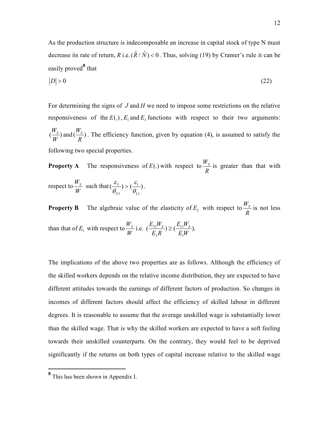As the production structure is indecomposable an increase in capital stock of type N must decrease its rate of return, *R* i.e.  $(\hat{R}/\hat{N})$  < 0. Thus, solving (19) by Cramer's rule it can be easily proved<sup>8</sup> that

$$
|D| > 0 \tag{22}
$$

For determining the signs of *J* and *H* we need to impose some restrictions on the relative responsiveness of the  $E(.)$ ,  $E_1$  and  $E_3$  functions with respect to their two arguments:  $\left(\frac{W_s}{W_s}\right)$ *W* and  $\left(\frac{W_s}{R}\right)^2$ *R* . The efficiency function, given by equation (4), is assumed to satisfy the following two special properties.

**Property A** The responsiveness of *E*(.) with respect to  $\frac{W_S}{R}$ *R* is greater than that with respect to  $\frac{W_s}{W}$ *W* such that  $(\frac{c_3}{2}) > (\frac{c_1}{2})$ 1  $V_{L1}$  $\left(\frac{c_3}{a}\right) > \left(\frac{c_1}{a}\right)$  $N1$   $V_L$  $\varepsilon$ ,  $\varepsilon$  $\theta_{_{N1}}$   $\theta_{_{N}}$  $> \left(\frac{c_1}{c}\right)$ .

**Property B** The algebraic value of the elasticity of  $E_3$  with respect to  $\frac{W_S}{R}$ *R* is not less than that of  $E_1$  with respect to  $\frac{W_S}{W_S}$ *W* i.e.  $\left(\frac{L_{33}^{11} \text{ s}}{5.2}\right) \geq \left(\frac{L_{11}}{5}\right)$  $3^{11}$   $L_1$  $(\frac{E_{33}W_s}{E_{12}}) \geq (\frac{E_{11}W_s}{E_{23}}).$  $E_3 R$   $E_1 W$  $\geq$ 

The implications of the above two properties are as follows. Although the efficiency of the skilled workers depends on the relative income distribution, they are expected to have different attitudes towards the earnings of different factors of production. So changes in incomes of different factors should affect the efficiency of skilled labour in different degrees. It is reasonable to assume that the average unskilled wage is substantially lower than the skilled wage. That is why the skilled workers are expected to have a soft feeling towards their unskilled counterparts. On the contrary, they would feel to be deprived significantly if the returns on both types of capital increase relative to the skilled wage

**<sup>8</sup>** This has been shown in Appendix I.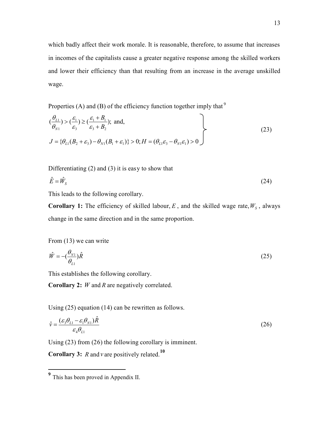which badly affect their work morale. It is reasonable, therefore, to assume that increases in incomes of the capitalists cause a greater negative response among the skilled workers and lower their efficiency than that resulting from an increase in the average unskilled wage.

Properties (A) and (B) of the efficiency function together imply that  $9$ 

$$
\left\{\frac{\theta_{L1}}{\theta_{N1}}\right\} > \left(\frac{\varepsilon_1}{\varepsilon_3}\right) \ge \left(\frac{\varepsilon_1 + B_1}{\varepsilon_3 + B_2}\right); \text{ and,}
$$
\n
$$
J = \left\{\theta_{L1}(B_2 + \varepsilon_3) - \theta_{N1}(B_1 + \varepsilon_1)\right\} > 0; H = \left(\theta_{L1}\varepsilon_3 - \theta_{N1}\varepsilon_1\right) > 0
$$
\n(23)

Differentiating (2) and (3) it is easy to show that

$$
\hat{E} = \hat{W}_s \tag{24}
$$

This leads to the following corollary.

**Corollary 1:** The efficiency of skilled labour,  $E$ , and the skilled wage rate,  $W<sub>S</sub>$ , always change in the same direction and in the same proportion.

From (13) we can write

$$
\hat{W} = -\left(\frac{\theta_{N1}}{\theta_{L1}}\right)\hat{R}
$$
\n(25)

This establishes the following corollary.

**Corollary 2:** *W* and *R* are negatively correlated.

Using (25) equation (14) can be rewritten as follows.

$$
\hat{v} = \frac{(\varepsilon_3 \theta_{L1} - \varepsilon_1 \theta_{N1})\hat{R}}{\varepsilon_4 \theta_{L1}}\tag{26}
$$

Using (23) from (26) the following corollary is imminent.

**Corollary 3:** *R* and *v* are positively related.**<sup>10</sup>**

**<sup>9</sup>** This has been proved in Appendix II.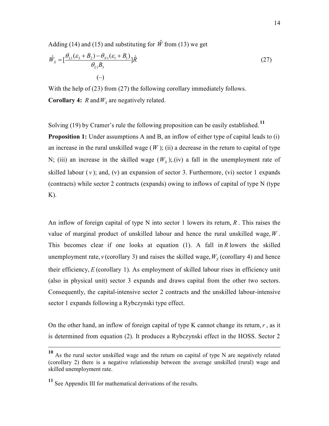Adding (14) and (15) and substituting for  $\hat{W}$  from (13) we get

$$
\hat{W}_s = \left[\frac{\theta_{L1}(\varepsilon_3 + B_2) - \theta_{N1}(\varepsilon_1 + B_1)}{\theta_{L1}B_3}\right] \hat{R}
$$
\n
$$
(-)
$$
\n(27)

With the help of (23) from (27) the following corollary immediately follows. **Corollary 4:** *R* and  $W_s$  are negatively related.

Solving (19) by Cramer's rule the following proposition can be easily established. **<sup>11</sup>**

**Proposition 1:** Under assumptions A and B, an inflow of either type of capital leads to (i) an increase in the rural unskilled wage  $(W)$ ; (ii) a decrease in the return to capital of type N; (iii) an increase in the skilled wage  $(W<sub>S</sub>)$ ; (iv) a fall in the unemployment rate of skilled labour  $(v)$ ; and,  $(v)$  an expansion of sector 3. Furthermore,  $(vi)$  sector 1 expands (contracts) while sector 2 contracts (expands) owing to inflows of capital of type N (type  $K$ ).

An inflow of foreign capital of type N into sector 1 lowers its return, *R* . This raises the value of marginal product of unskilled labour and hence the rural unskilled wage,*W* . This becomes clear if one looks at equation (1). A fall in *R* lowers the skilled unemployment rate,  $v$  (corollary 3) and raises the skilled wage,  $W_s$  (corollary 4) and hence their efficiency, *E* (corollary 1). As employment of skilled labour rises in efficiency unit (also in physical unit) sector 3 expands and draws capital from the other two sectors. Consequently, the capital-intensive sector 2 contracts and the unskilled labour-intensive sector 1 expands following a Rybczynski type effect.

On the other hand, an inflow of foreign capital of type K cannot change its return,*r* , as it is determined from equation (2). It produces a Rybczynski effect in the HOSS. Sector 2

**<sup>10</sup>** As the rural sector unskilled wage and the return on capital of type N are negatively related (corollary 2) there is a negative relationship between the average unskilled (rural) wage and skilled unemployment rate.

**<sup>11</sup>** See Appendix III for mathematical derivations of the results.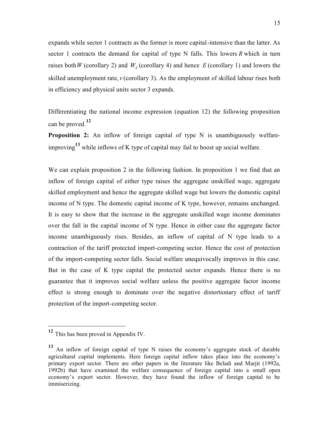expands while sector 1 contracts as the former is more capital-intensive than the latter. As sector 1 contracts the demand for capital of type N falls. This lowers *R* which in turn raises both *W* (corollary 2) and  $W<sub>S</sub>$  (corollary 4) and hence *E* (corollary 1) and lowers the skilled unemployment rate,  $v$  (corollary 3). As the employment of skilled labour rises both in efficiency and physical units sector 3 expands.

Differentiating the national income expression (equation 12) the following proposition can be proved.**<sup>12</sup>**

**Proposition 2:** An inflow of foreign capital of type N is unambiguously welfareimproving**13** while inflows of K type of capital may fail to boost up social welfare.

We can explain proposition 2 in the following fashion. In proposition 1 we find that an inflow of foreign capital of either type raises the aggregate unskilled wage, aggregate skilled employment and hence the aggregate skilled wage but lowers the domestic capital income of N type. The domestic capital income of K type, however, remains unchanged. It is easy to show that the increase in the aggregate unskilled wage income dominates over the fall in the capital income of N type. Hence in either case the aggregate factor income unambiguously rises. Besides, an inflow of capital of N type leads to a contraction of the tariff protected import-competing sector. Hence the cost of protection of the import-competing sector falls. Social welfare unequivocally improves in this case. But in the case of K type capital the protected sector expands. Hence there is no guarantee that it improves social welfare unless the positive aggregate factor income effect is strong enough to dominate over the negative distortionary effect of tariff protection of the import-competing sector.

**<sup>12</sup>** This has been proved in Appendix IV.

**<sup>13</sup>** An inflow of foreign capital of type N raises the economy's aggregate stock of durable agricultural capital implements. Here foreign capital inflow takes place into the economy's primary export sector. There are other papers in the literature like Beladi and Marjit (1992a, 1992b) that have examined the welfare consequence of foreign capital into a small open economy's export sector. However, they have found the inflow of foreign capital to be immiserizing.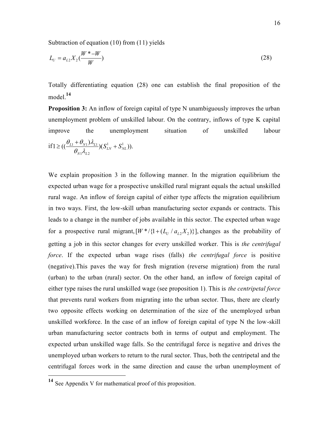Subtraction of equation (10) from (11) yields

 $1$ <sup> $L$ </sup> $L$ <sup>2</sup>

 $N1$ <sup> $L$ </sup> $L$ 

$$
L_U = a_{L2} X_2 \left(\frac{W^* - W}{W}\right) \tag{28}
$$

Totally differentiating equation (28) one can establish the final proposition of the model<sup>14</sup>

**Proposition 3:** An inflow of foreign capital of type N unambiguously improves the urban unemployment problem of unskilled labour. On the contrary, inflows of type K capital improve the unemployment situation of unskilled labour if  $1 \geq ((\frac{U_{L1} + U_{N1})\lambda_{L1}}{2}) (S_{LN}^1 + S_{N}^1)$  $\mathcal{A} = ((\frac{\theta_{L1} + \theta_{N1})\lambda_{L1}}{\theta_{L1}})(S_{LN}^1 + S_{NL}^1)).$  $\frac{\theta_{L1} + \theta_{N1} \lambda_{L1}}{2} (S_{LN}^1 + S)$  $\theta_{N1} \lambda$  $\geq ((\frac{\theta_{L1} + \theta_{N1})\lambda_{L1}}{\lambda_{L1}})(S_{LN}^1 +$ 

We explain proposition 3 in the following manner. In the migration equilibrium the expected urban wage for a prospective unskilled rural migrant equals the actual unskilled rural wage. An inflow of foreign capital of either type affects the migration equilibrium in two ways. First, the low-skill urban manufacturing sector expands or contracts. This leads to a change in the number of jobs available in this sector. The expected urban wage for a prospective rural migrant,  $[W^*/{1 + (L_U/a_{L2}X_2)}]$ , changes as the probability of getting a job in this sector changes for every unskilled worker. This is *the centrifugal force*. If the expected urban wage rises (falls) *the centrifugal force* is positive (negative).This paves the way for fresh migration (reverse migration) from the rural (urban) to the urban (rural) sector. On the other hand, an inflow of foreign capital of either type raises the rural unskilled wage (see proposition 1). This is *the centripetal force* that prevents rural workers from migrating into the urban sector. Thus, there are clearly two opposite effects working on determination of the size of the unemployed urban unskilled workforce. In the case of an inflow of foreign capital of type N the low-skill urban manufacturing sector contracts both in terms of output and employment. The expected urban unskilled wage falls. So the centrifugal force is negative and drives the unemployed urban workers to return to the rural sector. Thus, both the centripetal and the centrifugal forces work in the same direction and cause the urban unemployment of

l

**<sup>14</sup>** See Appendix V for mathematical proof of this proposition.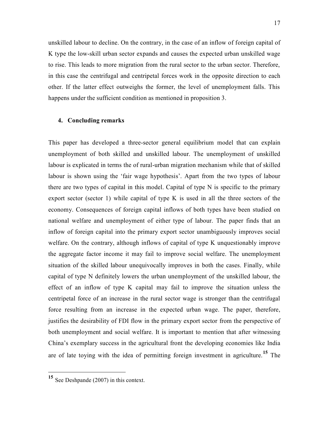unskilled labour to decline. On the contrary, in the case of an inflow of foreign capital of K type the low-skill urban sector expands and causes the expected urban unskilled wage to rise. This leads to more migration from the rural sector to the urban sector. Therefore, in this case the centrifugal and centripetal forces work in the opposite direction to each other. If the latter effect outweighs the former, the level of unemployment falls. This happens under the sufficient condition as mentioned in proposition 3.

#### **4. Concluding remarks**

This paper has developed a three-sector general equilibrium model that can explain unemployment of both skilled and unskilled labour. The unemployment of unskilled labour is explicated in terms the of rural-urban migration mechanism while that of skilled labour is shown using the 'fair wage hypothesis'. Apart from the two types of labour there are two types of capital in this model. Capital of type N is specific to the primary export sector (sector 1) while capital of type K is used in all the three sectors of the economy. Consequences of foreign capital inflows of both types have been studied on national welfare and unemployment of either type of labour. The paper finds that an inflow of foreign capital into the primary export sector unambiguously improves social welfare. On the contrary, although inflows of capital of type K unquestionably improve the aggregate factor income it may fail to improve social welfare. The unemployment situation of the skilled labour unequivocally improves in both the cases. Finally, while capital of type N definitely lowers the urban unemployment of the unskilled labour, the effect of an inflow of type K capital may fail to improve the situation unless the centripetal force of an increase in the rural sector wage is stronger than the centrifugal force resulting from an increase in the expected urban wage. The paper, therefore, justifies the desirability of FDI flow in the primary export sector from the perspective of both unemployment and social welfare. It is important to mention that after witnessing China's exemplary success in the agricultural front the developing economies like India are of late toying with the idea of permitting foreign investment in agriculture.**15** The

l

**<sup>15</sup>** See Deshpande (2007) in this context.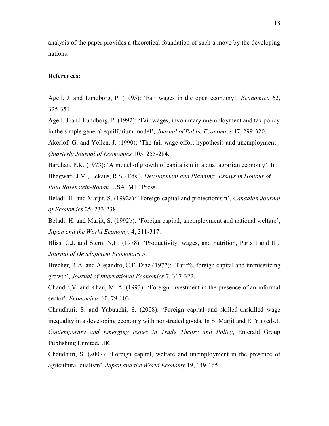analysis of the paper provides a theoretical foundation of such a move by the developing nations.

#### **References:**

<u>.</u>

Agell, J. and Lundborg, P. (1995): 'Fair wages in the open economy', *Economica* 62, 325-351

Agell, J. and Lundborg, P. (1992): 'Fair wages, involuntary unemployment and tax policy in the simple general equilibrium model', *Journal of Public Economics* 47, 299-320.

Akerlof, G. and Yellen, J. (1990): 'The fair wage effort hypothesis and unemployment', *Quarterly Journal of Economics* 105, 255-284.

Bardhan, P.K. (1973): 'A model of growth of capitalism in a dual agrari an economy'. In:

Bhagwati, J.M., Eckaus, R.S. (Eds.), *Development and Planning: Essays in Honour of Paul Rosenstein-Rodan*. USA, MIT Press.

Beladi, H. and Marjit, S. (1992a): 'Foreign capital and protectionism', *Canadian Journal of Economics* 25, 233-238.

Beladi, H. and Marjit, S. (1992b): 'Foreign capital, unemployment and national welfare', *Japan and the World Economy*. 4, 311-317.

Bliss, C.J. and Stern, N,H. (1978): 'Productivity, wages, and nutrition, Parts I and II', *Journal of Development Economics* 5.

Brecher, R.A. and Alejandro, C.F. Diaz (1977): 'Tariffs, foreign capital and immiserizing growth', *Journal of International Economics* 7, 317-322.

Chandra,V. and Khan, M. A. (1993): 'Foreign investment in the presence of an informal sector', *Economica* 60, 79-103.

Chaudhuri, S. and Yabuuchi, S. (2008): 'Foreign capital and skilled-unskilled wage inequality in a developing economy with non-traded goods. In S. Marjit and E. Yu (eds.), *Contemporary and Emerging Issues in Trade Theory and Policy*, Emerald Group Publishing Limited, UK.

Chaudhuri, S. (2007): 'Foreign capital, welfare and unemployment in the presence of agricultural dualism', *Japan and the World Economy* 19, 149-165.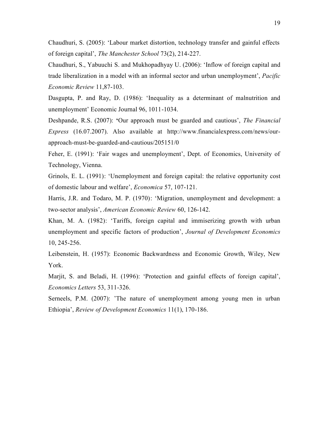Chaudhuri, S. (2005): 'Labour market distortion, technology transfer and gainful effects of foreign capital', *The Manchester School* 73(2), 214-227.

Chaudhuri, S., Yabuuchi S. and Mukhopadhyay U. (2006): 'Inflow of foreign capital and trade liberalization in a model with an informal sector and urban unemployment', *Pacific Economic Review* 11,87-103.

Dasgupta, P. and Ray, D. (1986): 'Inequality as a determinant of malnutrition and unemployment' Economic Journal 96, 1011-1034.

Deshpande, R.S. (2007): **'**Our approach must be guarded and cautious', *The Financial Express* (16.07.2007). Also available at http://www.financialexpress.com/news/ourapproach-must-be-guarded-and-cautious/205151/0

Feher, E. (1991): 'Fair wages and unemployment', Dept. of Economics, University of Technology, Vienna.

Grinols, E. L. (1991): 'Unemployment and foreign capital: the relative opportunity cost of domestic labour and welfare', *Economica* 57, 107-121.

Harris, J.R. and Todaro, M. P. (1970): 'Migration, unemployment and development: a two-sector analysis', *American Economic Review* 60, 126-142.

Khan, M. A. (1982): 'Tariffs, foreign capital and immiserizing growth with urban unemployment and specific factors of production', *Journal of Development Economics* 10, 245-256.

Leibenstein, H. (1957): Economic Backwardness and Economic Growth, Wiley, New York.

Marjit, S. and Beladi, H. (1996): 'Protection and gainful effects of foreign capital', *Economics Letters* 53, 311-326.

Serneels, P.M. (2007): 'The nature of unemployment among young men in urban Ethiopia', *Review of Development Economics* 11(1), 170-186.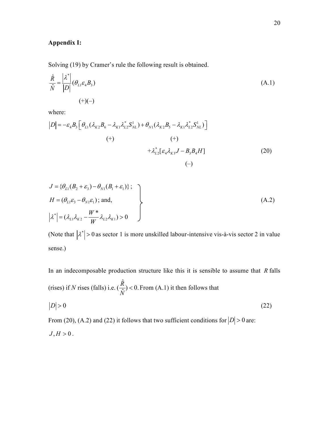## **Appendix I:**

Solving (19) by Cramer's rule the following result is obtained.

$$
\frac{\hat{R}}{\hat{N}} = \frac{\left|\lambda^*\right|}{\left|D\right|} \left(\theta_{L1} \varepsilon_4 B_3\right) \tag{A.1}
$$
\n
$$
(+)(-)
$$

where:

$$
|D| = -\varepsilon_{4}B_{3} \left[ \theta_{L1} (\lambda_{K2}B_{6} - \lambda_{K1} \lambda_{L2}^{*} S_{NL}^{1}) + \theta_{N1} (\lambda_{K2}B_{5} - \lambda_{K1} \lambda_{L2}^{*} S_{NL}^{1}) \right]
$$
  
(+)  

$$
+ \lambda_{L2}^{*} [\varepsilon_{4} \lambda_{K3} J - B_{3}B_{4}H]
$$
  
(20)  
(-)

$$
J = \{\theta_{L1}(B_2 + \varepsilon_3) - \theta_{N1}(B_1 + \varepsilon_1)\};
$$
  
\n
$$
H = (\theta_{L1}\varepsilon_3 - \theta_{N1}\varepsilon_1);
$$
 and,  
\n
$$
|\lambda^*| = (\lambda_{L1}\lambda_{K2} - \frac{W^*}{W}\lambda_{L2}\lambda_{K1}) > 0
$$
\n(A.2)

(Note that  $|\lambda^*| > 0$  as sector 1 is more unskilled labour-intensive vis-à-vis sector 2 in value sense.)

In an indecomposable production structure like this it is sensible to assume that *R* falls (rises) if *N* rises (falls) i.e.  $\hat{\mathsf{R}}$  $(\frac{R}{\hat{N}}) < 0.$ *N*  $<$  0. From  $(A.1)$  it then follows that  $D > 0$  (22)

From (20), (A.2) and (22) it follows that two sufficient conditions for  $|D| > 0$  are:

$$
J,H>0.
$$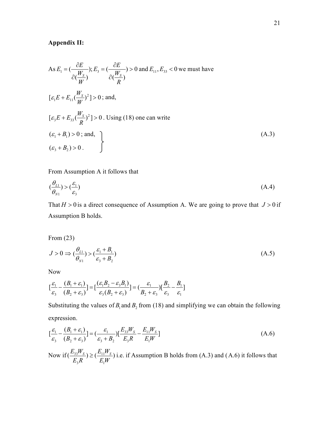## **Appendix II:**

As 
$$
E_1 = \left(\frac{\partial E}{\partial \left(\frac{W_s}{W}\right)}\right); E_3 = \left(\frac{\partial E}{\partial \left(\frac{W_s}{R}\right)}\right) > 0
$$
 and  $E_{11}, E_{33} < 0$  we must have  
\n
$$
[\varepsilon_1 E + E_{11} \left(\frac{W_s}{W}\right)^2] > 0; \text{ and,}
$$
\n
$$
[\varepsilon_3 E + E_{33} \left(\frac{W_s}{R}\right)^2] > 0. \text{ Using (18) one can write}
$$
\n
$$
(\varepsilon_1 + B_1) > 0; \text{ and,}
$$
\n
$$
(\varepsilon_3 + B_2) > 0.
$$
\n(A.3)

### From Assumption A it follows that

$$
\left(\frac{\theta_{L1}}{\theta_{N1}}\right) > \left(\frac{\varepsilon_1}{\varepsilon_3}\right) \tag{A.4}
$$

That  $H > 0$  is a direct consequence of Assumption A. We are going to prove that  $J > 0$  if Assumption B holds.

## From (23)

$$
J > 0 \Rightarrow (\frac{\theta_{L1}}{\theta_{N1}}) > (\frac{\varepsilon_1 + B_1}{\varepsilon_3 + B_2})
$$
\n(A.5)

Now

$$
\left[\frac{\varepsilon_1}{\varepsilon_3} - \frac{(B_1 + \varepsilon_1)}{(B_2 + \varepsilon_3)}\right] = \left[\frac{(\varepsilon_1 B_2 - \varepsilon_3 B_1)}{\varepsilon_3 (B_2 + \varepsilon_3)}\right] = \left(\frac{\varepsilon_1}{B_2 + \varepsilon_3}\right) \left[\frac{B_2}{\varepsilon_3} - \frac{B_1}{\varepsilon_1}\right]
$$

Substituting the values of  $B_1$  and  $B_2$  from (18) and simplifying we can obtain the following expression.

$$
\left[\frac{\varepsilon_{1}}{\varepsilon_{3}} - \frac{(B_{1} + \varepsilon_{1})}{(B_{2} + \varepsilon_{3})}\right] = \left(\frac{\varepsilon_{1}}{\varepsilon_{3} + B_{2}}\right)\left[\frac{E_{33}W_{S}}{E_{3}R} - \frac{E_{11}W_{S}}{E_{1}W}\right]
$$
\n(A.6)

Now if 
$$
(\frac{E_{33}W_s}{E_3R}) \ge (\frac{E_{11}W_s}{E_1W})
$$
 i.e. if Assumption B holds from (A.3) and (A.6) it follows that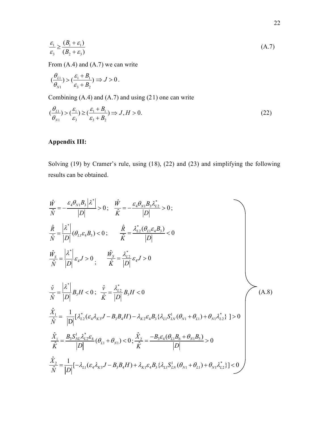$$
\frac{\varepsilon_1}{\varepsilon_3} \ge \frac{(B_1 + \varepsilon_1)}{(B_2 + \varepsilon_3)}\tag{A.7}
$$

From (A.4) and (A.7) we can write

$$
(\frac{\theta_{L1}}{\theta_{N1}}) > (\frac{\varepsilon_1 + B_1}{\varepsilon_3 + B_2}) \Rightarrow J > 0.
$$

Combining (A.4) and (A.7) and using (21) one can write

$$
\left(\frac{\theta_{L1}}{\theta_{N1}}\right) > \left(\frac{\varepsilon_1}{\varepsilon_3}\right) \ge \left(\frac{\varepsilon_1 + B_1}{\varepsilon_3 + B_2}\right) \Rightarrow J, H > 0. \tag{22}
$$

## **Appendix III:**

Solving (19) by Cramer's rule, using (18), (22) and (23) and simplifying the following results can be obtained.

$$
\frac{\hat{W}}{\hat{N}} = -\frac{\varepsilon_4 \theta_{N1} B_3 |\lambda^*|}{|D|} > 0; \quad \frac{\hat{W}}{\hat{K}} = -\frac{\varepsilon_4 \theta_{N1} B_3 \lambda_{L2}^*}{|D|} > 0; \n\frac{\hat{R}}{\hat{N}} = \frac{|\lambda^*|}{|D|} (\theta_{L1} \varepsilon_4 B_3) < 0; \quad \frac{\hat{R}}{\hat{K}} = \frac{\lambda_{L2}^* (\theta_{L1} \varepsilon_4 B_3)}{|D|} < 0 \n\frac{\hat{W}_s}{\hat{N}} = \frac{|\lambda^*|}{|D|} \varepsilon_4 J > 0; \quad \frac{\hat{W}_s}{\hat{K}} = \frac{\lambda_{L2}^*}{|D|} \varepsilon_4 J > 0 \n\frac{\hat{v}}{\hat{N}} = \frac{|\lambda^*|}{|D|} B_3 H < 0; \quad \frac{\hat{v}}{\hat{K}} = \frac{\lambda_{L2}^*}{|D|} B_3 H < 0 \n\frac{\hat{X}_1}{\hat{N}} = \frac{1}{|D|} [\lambda_{L2}^* (\varepsilon_4 \lambda_{K3} J - B_3 B_4 H) - \lambda_{K2} \varepsilon_4 B_3 {\lambda_{L1} S_{LN}^1 (\theta_{N1} + \theta_{L1}) + \theta_{N1} \lambda_{L2}^* } ] > 0 \n\frac{\hat{X}_1}{\hat{K}} = \frac{B_3 S_{NL}^1 \lambda_{L2}^* \varepsilon_4}{|D|} (\theta_{L1} + \theta_{N1}) < 0; \quad \frac{\hat{X}_2}{\hat{K}} = \frac{-B_3 \varepsilon_4 (\theta_{L1} B_6 + \theta_{N1} B_5)}{|D|} > 0 \n\frac{\hat{X}_2}{\hat{N}} = \frac{1}{|D|} [-\lambda_{L1} (\varepsilon_4 \lambda_{K3} J - B_3 B_4 H) + \lambda_{K1} \varepsilon_4 B_3 {\lambda_{L1} S_{LN}^1 (\theta_{N1} + \theta_{L1}) + \theta_{N1} \lambda_{L2}^* } ] < 0
$$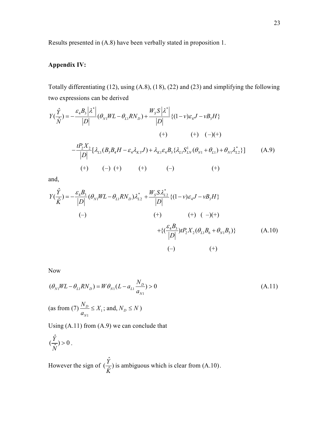Results presented in (A.8) have been verbally stated in proposition 1.

## **Appendix IV:**

Totally differentiating (12), using (A.8), (18), (22) and (23) and simplifying the following two expressions can be derived

$$
Y(\frac{\hat{Y}}{\hat{N}}) = -\frac{\varepsilon_4 B_3 |\lambda^*|}{|D|} (\theta_{N1} W L - \theta_{L1} R N_D) + \frac{W_S S |\lambda^*|}{|D|} \{ (1 - v)\varepsilon_4 J - vB_3 H \}
$$
  
\n(+) (+) (-)(+)  
\n
$$
-\frac{t P_2 X_2}{|D|} [\lambda_{L1} (B_3 B_4 H - \varepsilon_4 \lambda_{K3} J) + \lambda_{K1} \varepsilon_4 B_3 {\lambda_{L1} S_{LN}^1 (\theta_{N1} + \theta_{L1})} + \theta_{N1} \lambda_{L2}^* \}]
$$
(A.9)  
\n(+) (-) (+) (+) (-)

and,

4 3 \* 1 1 2 ˆ ( ) ( ) <sup>ˆ</sup> *N L D L Y B Y WL RN K D* \* 2 4 3 {(1 ) } *W SS L v J vB H D* (–) (+) (+) ( –)(+) 4 3 2 2 1 6 1 5 {( ) ( )} *L N B tP X B B D* (A.10) (–) (+)

Now

$$
(\theta_{N1}WL - \theta_{L1}RN_D) = W\theta_{N1}(L - a_{L1}\frac{N_D}{a_{N1}}) > 0
$$
\n(A.11)\n  
\n(as from (7)  $\frac{N_D}{a_{N1}} \le X_1$ ; and,  $N_D \le N$ )

Using (A.11) from (A.9) we can conclude that

$$
(\frac{\hat{Y}}{\hat{N}}) > 0.
$$

However the sign of ˆ  $\left(\frac{Y}{\hat{K}}\right)$ *K* is ambiguous which is clear from (A.10).